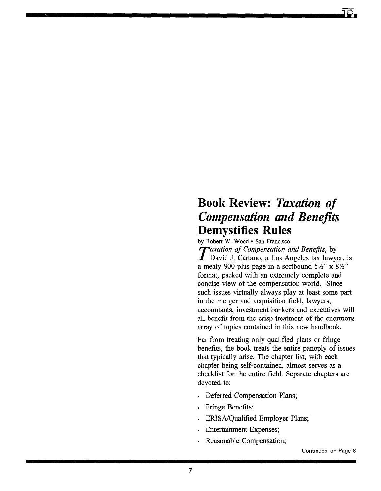## **Book Review:** *Taxation of Compensation and Benefits*  **Demystifies Rules**

by Robert W. Wood  $\cdot$  San Francisco<br>
Taxation of Compensation and Benefits, by *Taxation of Compensation and Benefits*, by David J. Cartano, a Los Angeles tax lawyer, is a meaty 900 plus page in a softbound *5Yz"* x *8Yz"*  format, packed with an extremely complete and concise view of the compensation world. Since such issues virtually always play at least some part in the merger and acquisition field, lawyers, accountants, investment bankers and executives will all benefit from the crisp treatment of the enormous array of topics contained in this new handbook.

Far from treating only qualified plans or fringe benefits, the book treats the entire panoply of issues that typically arise. The chapter list, with each chapter being self-contained, almost serves as a checklist for the entire field. Separate chapters are devoted to:

- · Deferred Compensation Plans;
- Fringe Benefits;
- ERISA/Qualified Employer Plans;
- **Entertainment Expenses;**
- Reasonable Compensation;

Continued on Page 8